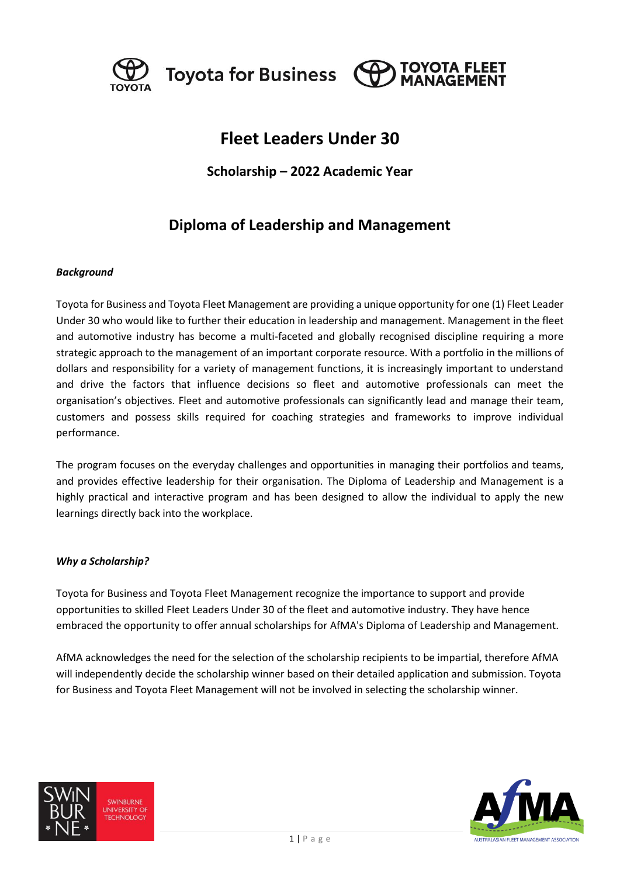

Toyota for Business (O



# **Fleet Leaders Under 30**

### **Scholarship – 2022 Academic Year**

## **Diploma of Leadership and Management**

#### *Background*

Toyota for Business and Toyota Fleet Management are providing a unique opportunity for one (1) Fleet Leader Under 30 who would like to further their education in leadership and management. Management in the fleet and automotive industry has become a multi-faceted and globally recognised discipline requiring a more strategic approach to the management of an important corporate resource. With a portfolio in the millions of dollars and responsibility for a variety of management functions, it is increasingly important to understand and drive the factors that influence decisions so fleet and automotive professionals can meet the organisation's objectives. Fleet and automotive professionals can significantly lead and manage their team, customers and possess skills required for coaching strategies and frameworks to improve individual performance.

The program focuses on the everyday challenges and opportunities in managing their portfolios and teams, and provides effective leadership for their organisation. The Diploma of Leadership and Management is a highly practical and interactive program and has been designed to allow the individual to apply the new learnings directly back into the workplace.

#### *Why a Scholarship?*

Toyota for Business and Toyota Fleet Management recognize the importance to support and provide opportunities to skilled Fleet Leaders Under 30 of the fleet and automotive industry. They have hence embraced the opportunity to offer annual scholarships for AfMA's Diploma of Leadership and Management.

AfMA acknowledges the need for the selection of the scholarship recipients to be impartial, therefore AfMA will independently decide the scholarship winner based on their detailed application and submission. Toyota for Business and Toyota Fleet Management will not be involved in selecting the scholarship winner.



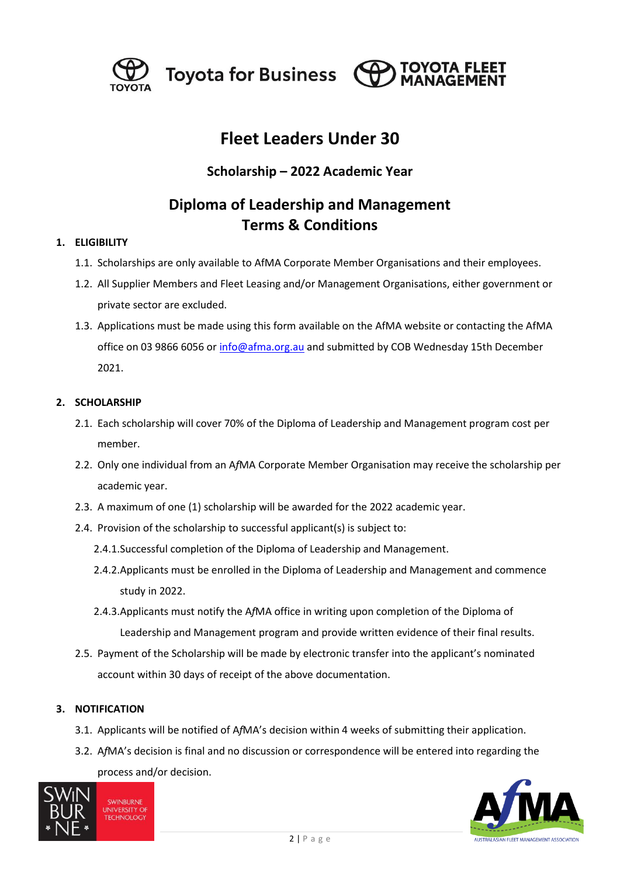

Toyota for Business (O



# **Fleet Leaders Under 30**

### **Scholarship – 2022 Academic Year**

## **Diploma of Leadership and Management Terms & Conditions**

#### **1. ELIGIBILITY**

- 1.1. Scholarships are only available to AfMA Corporate Member Organisations and their employees.
- 1.2. All Supplier Members and Fleet Leasing and/or Management Organisations, either government or private sector are excluded.
- 1.3. Applications must be made using this form available on the AfMA website or contacting the AfMA office on 03 9866 6056 o[r info@afma.org.au](mailto:info@afma.org.au) and submitted by COB Wednesday 15th December 2021.

#### **2. SCHOLARSHIP**

- 2.1. Each scholarship will cover 70% of the Diploma of Leadership and Management program cost per member.
- 2.2. Only one individual from an A*f*MA Corporate Member Organisation may receive the scholarship per academic year.
- 2.3. A maximum of one (1) scholarship will be awarded for the 2022 academic year.
- 2.4. Provision of the scholarship to successful applicant(s) is subject to:
	- 2.4.1.Successful completion of the Diploma of Leadership and Management.
	- 2.4.2.Applicants must be enrolled in the Diploma of Leadership and Management and commence study in 2022.
	- 2.4.3.Applicants must notify the A*f*MA office in writing upon completion of the Diploma of Leadership and Management program and provide written evidence of their final results.
- 2.5. Payment of the Scholarship will be made by electronic transfer into the applicant's nominated account within 30 days of receipt of the above documentation.

#### **3. NOTIFICATION**

- 3.1. Applicants will be notified of A*f*MA's decision within 4 weeks of submitting their application.
- 3.2. A*f*MA's decision is final and no discussion or correspondence will be entered into regarding the process and/or decision.